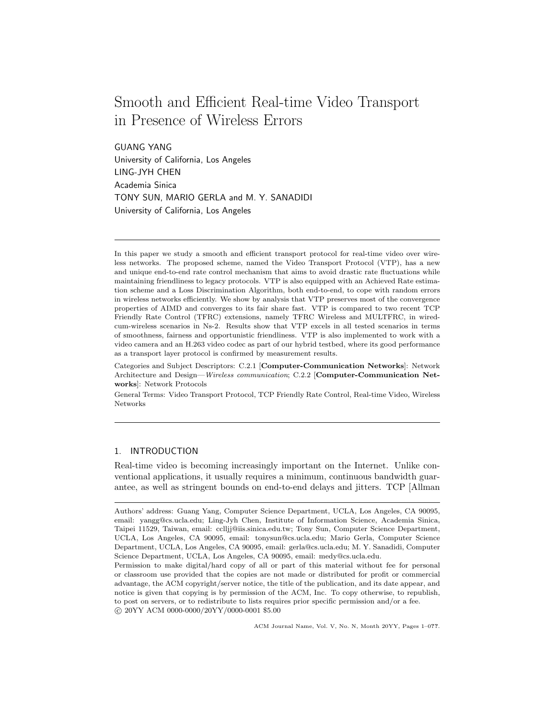# Smooth and Efficient Real-time Video Transport in Presence of Wireless Errors

GUANG YANG University of California, Los Angeles LING-JYH CHEN Academia Sinica TONY SUN, MARIO GERLA and M. Y. SANADIDI University of California, Los Angeles

In this paper we study a smooth and efficient transport protocol for real-time video over wireless networks. The proposed scheme, named the Video Transport Protocol (VTP), has a new and unique end-to-end rate control mechanism that aims to avoid drastic rate fluctuations while maintaining friendliness to legacy protocols. VTP is also equipped with an Achieved Rate estimation scheme and a Loss Discrimination Algorithm, both end-to-end, to cope with random errors in wireless networks efficiently. We show by analysis that VTP preserves most of the convergence properties of AIMD and converges to its fair share fast. VTP is compared to two recent TCP Friendly Rate Control (TFRC) extensions, namely TFRC Wireless and MULTFRC, in wiredcum-wireless scenarios in Ns-2. Results show that VTP excels in all tested scenarios in terms of smoothness, fairness and opportunistic friendliness. VTP is also implemented to work with a video camera and an H.263 video codec as part of our hybrid testbed, where its good performance as a transport layer protocol is confirmed by measurement results.

Categories and Subject Descriptors: C.2.1 [Computer-Communication Networks]: Network Architecture and Design—Wireless communication; C.2.2 [Computer-Communication Networks]: Network Protocols

General Terms: Video Transport Protocol, TCP Friendly Rate Control, Real-time Video, Wireless Networks

# 1. INTRODUCTION

Real-time video is becoming increasingly important on the Internet. Unlike conventional applications, it usually requires a minimum, continuous bandwidth guarantee, as well as stringent bounds on end-to-end delays and jitters. TCP [Allman

Authors' address: Guang Yang, Computer Science Department, UCLA, Los Angeles, CA 90095, email: yangg@cs.ucla.edu; Ling-Jyh Chen, Institute of Information Science, Academia Sinica, Taipei 11529, Taiwan, email: cclljj@iis.sinica.edu.tw; Tony Sun, Computer Science Department, UCLA, Los Angeles, CA 90095, email: tonysun@cs.ucla.edu; Mario Gerla, Computer Science Department, UCLA, Los Angeles, CA 90095, email: gerla@cs.ucla.edu; M. Y. Sanadidi, Computer Science Department, UCLA, Los Angeles, CA 90095, email: medy@cs.ucla.edu.

Permission to make digital/hard copy of all or part of this material without fee for personal or classroom use provided that the copies are not made or distributed for profit or commercial advantage, the ACM copyright/server notice, the title of the publication, and its date appear, and notice is given that copying is by permission of the ACM, Inc. To copy otherwise, to republish, to post on servers, or to redistribute to lists requires prior specific permission and/or a fee. °c 20YY ACM 0000-0000/20YY/0000-0001 \$5.00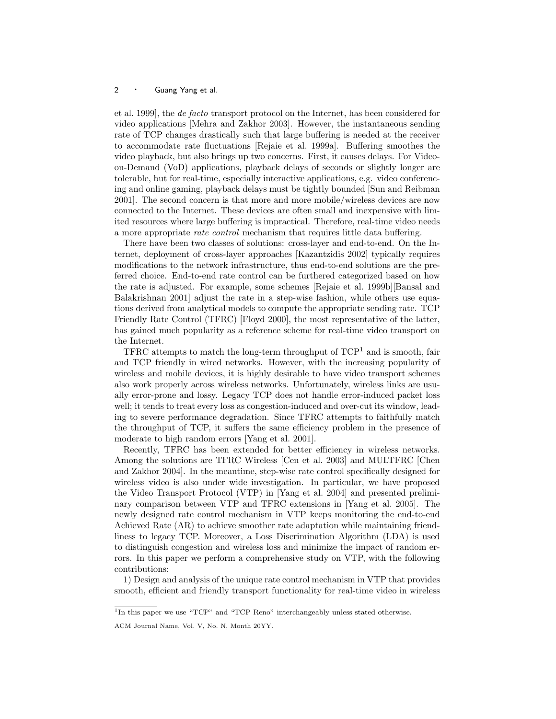et al. 1999], the de facto transport protocol on the Internet, has been considered for video applications [Mehra and Zakhor 2003]. However, the instantaneous sending rate of TCP changes drastically such that large buffering is needed at the receiver to accommodate rate fluctuations [Rejaie et al. 1999a]. Buffering smoothes the video playback, but also brings up two concerns. First, it causes delays. For Videoon-Demand (VoD) applications, playback delays of seconds or slightly longer are tolerable, but for real-time, especially interactive applications, e.g. video conferencing and online gaming, playback delays must be tightly bounded [Sun and Reibman 2001]. The second concern is that more and more mobile/wireless devices are now connected to the Internet. These devices are often small and inexpensive with limited resources where large buffering is impractical. Therefore, real-time video needs a more appropriate rate control mechanism that requires little data buffering.

There have been two classes of solutions: cross-layer and end-to-end. On the Internet, deployment of cross-layer approaches [Kazantzidis 2002] typically requires modifications to the network infrastructure, thus end-to-end solutions are the preferred choice. End-to-end rate control can be furthered categorized based on how the rate is adjusted. For example, some schemes [Rejaie et al. 1999b][Bansal and Balakrishnan 2001] adjust the rate in a step-wise fashion, while others use equations derived from analytical models to compute the appropriate sending rate. TCP Friendly Rate Control (TFRC) [Floyd 2000], the most representative of the latter, has gained much popularity as a reference scheme for real-time video transport on the Internet.

TFRC attempts to match the long-term throughput of  $TCP<sup>1</sup>$  and is smooth, fair and TCP friendly in wired networks. However, with the increasing popularity of wireless and mobile devices, it is highly desirable to have video transport schemes also work properly across wireless networks. Unfortunately, wireless links are usually error-prone and lossy. Legacy TCP does not handle error-induced packet loss well; it tends to treat every loss as congestion-induced and over-cut its window, leading to severe performance degradation. Since TFRC attempts to faithfully match the throughput of TCP, it suffers the same efficiency problem in the presence of moderate to high random errors [Yang et al. 2001].

Recently, TFRC has been extended for better efficiency in wireless networks. Among the solutions are TFRC Wireless [Cen et al. 2003] and MULTFRC [Chen and Zakhor 2004]. In the meantime, step-wise rate control specifically designed for wireless video is also under wide investigation. In particular, we have proposed the Video Transport Protocol (VTP) in [Yang et al. 2004] and presented preliminary comparison between VTP and TFRC extensions in [Yang et al. 2005]. The newly designed rate control mechanism in VTP keeps monitoring the end-to-end Achieved Rate (AR) to achieve smoother rate adaptation while maintaining friendliness to legacy TCP. Moreover, a Loss Discrimination Algorithm (LDA) is used to distinguish congestion and wireless loss and minimize the impact of random errors. In this paper we perform a comprehensive study on VTP, with the following contributions:

1) Design and analysis of the unique rate control mechanism in VTP that provides smooth, efficient and friendly transport functionality for real-time video in wireless

<sup>&</sup>lt;sup>1</sup>In this paper we use "TCP" and "TCP Reno" interchangeably unless stated otherwise.

ACM Journal Name, Vol. V, No. N, Month 20YY.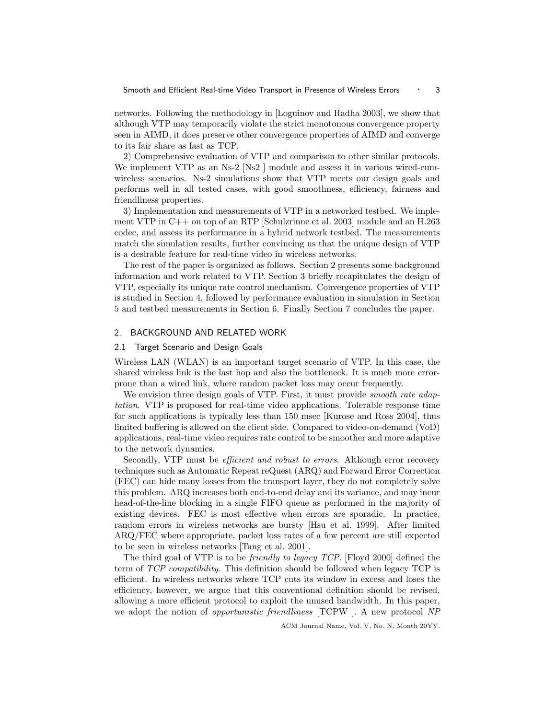networks. Following the methodology in [Loguinov and Radha 2003], we show that although VTP may temporarily violate the strict monotonous convergence property seen in AIMD, it does preserve other convergence properties of AIMD and converge to its fair share as fast as TCP.

2) Comprehensive evaluation of VTP and comparison to other similar protocols. We implement VTP as an Ns-2 [Ns2 ] module and assess it in various wired-cumwireless scenarios. Ns-2 simulations show that VTP meets our design goals and performs well in all tested cases, with good smoothness, efficiency, fairness and friendliness properties.

3) Implementation and measurements of VTP in a networked testbed. We implement VTP in C++ on top of an RTP [Schulzrinne et al. 2003] module and an H.263 codec, and assess its performance in a hybrid network testbed. The measurements match the simulation results, further convincing us that the unique design of VTP is a desirable feature for real-time video in wireless networks.

The rest of the paper is organized as follows. Section 2 presents some background information and work related to VTP. Section 3 briefly recapitulates the design of VTP, especially its unique rate control mechanism. Convergence properties of VTP is studied in Section 4, followed by performance evaluation in simulation in Section 5 and testbed measurements in Section 6. Finally Section 7 concludes the paper.

#### 2. BACKGROUND AND RELATED WORK

#### 2.1 Target Scenario and Design Goals

Wireless LAN (WLAN) is an important target scenario of VTP. In this case, the shared wireless link is the last hop and also the bottleneck. It is much more errorprone than a wired link, where random packet loss may occur frequently.

We envision three design goals of VTP. First, it must provide *smooth rate adap*tation. VTP is proposed for real-time video applications. Tolerable response time for such applications is typically less than 150 msec [Kurose and Ross 2004], thus limited buffering is allowed on the client side. Compared to video-on-demand (VoD) applications, real-time video requires rate control to be smoother and more adaptive to the network dynamics.

Secondly, VTP must be *efficient and robust to errors*. Although error recovery techniques such as Automatic Repeat reQuest (ARQ) and Forward Error Correction (FEC) can hide many losses from the transport layer, they do not completely solve this problem. ARQ increases both end-to-end delay and its variance, and may incur head-of-the-line blocking in a single FIFO queue as performed in the majority of existing devices. FEC is most effective when errors are sporadic. In practice, random errors in wireless networks are bursty [Hsu et al. 1999]. After limited ARQ/FEC where appropriate, packet loss rates of a few percent are still expected to be seen in wireless networks [Tang et al. 2001].

The third goal of VTP is to be friendly to legacy TCP. [Floyd 2000] defined the term of TCP compatibility. This definition should be followed when legacy TCP is efficient. In wireless networks where TCP cuts its window in excess and loses the efficiency, however, we argue that this conventional definition should be revised, allowing a more efficient protocol to exploit the unused bandwidth. In this paper, we adopt the notion of *opportunistic friendliness* [TCPW ]. A new protocol NP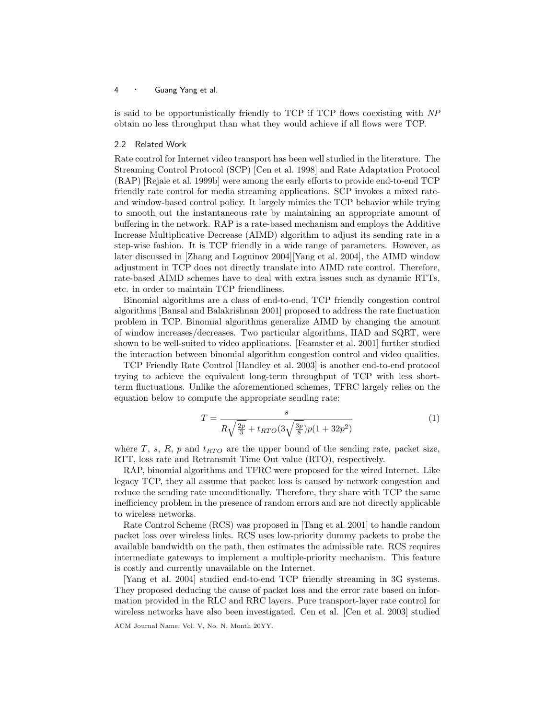is said to be opportunistically friendly to TCP if TCP flows coexisting with NP obtain no less throughput than what they would achieve if all flows were TCP.

#### 2.2 Related Work

Rate control for Internet video transport has been well studied in the literature. The Streaming Control Protocol (SCP) [Cen et al. 1998] and Rate Adaptation Protocol (RAP) [Rejaie et al. 1999b] were among the early efforts to provide end-to-end TCP friendly rate control for media streaming applications. SCP invokes a mixed rateand window-based control policy. It largely mimics the TCP behavior while trying to smooth out the instantaneous rate by maintaining an appropriate amount of buffering in the network. RAP is a rate-based mechanism and employs the Additive Increase Multiplicative Decrease (AIMD) algorithm to adjust its sending rate in a step-wise fashion. It is TCP friendly in a wide range of parameters. However, as later discussed in [Zhang and Loguinov 2004][Yang et al. 2004], the AIMD window adjustment in TCP does not directly translate into AIMD rate control. Therefore, rate-based AIMD schemes have to deal with extra issues such as dynamic RTTs, etc. in order to maintain TCP friendliness.

Binomial algorithms are a class of end-to-end, TCP friendly congestion control algorithms [Bansal and Balakrishnan 2001] proposed to address the rate fluctuation problem in TCP. Binomial algorithms generalize AIMD by changing the amount of window increases/decreases. Two particular algorithms, IIAD and SQRT, were shown to be well-suited to video applications. [Feamster et al. 2001] further studied the interaction between binomial algorithm congestion control and video qualities.

TCP Friendly Rate Control [Handley et al. 2003] is another end-to-end protocol trying to achieve the equivalent long-term throughput of TCP with less shortterm fluctuations. Unlike the aforementioned schemes, TFRC largely relies on the equation below to compute the appropriate sending rate:

$$
T = \frac{s}{R\sqrt{\frac{2p}{3}} + t_{RTO}(3\sqrt{\frac{3p}{8}})p(1+32p^2)}
$$
(1)

where T, s, R, p and  $t_{RTO}$  are the upper bound of the sending rate, packet size, RTT, loss rate and Retransmit Time Out value (RTO), respectively.

RAP, binomial algorithms and TFRC were proposed for the wired Internet. Like legacy TCP, they all assume that packet loss is caused by network congestion and reduce the sending rate unconditionally. Therefore, they share with TCP the same inefficiency problem in the presence of random errors and are not directly applicable to wireless networks.

Rate Control Scheme (RCS) was proposed in [Tang et al. 2001] to handle random packet loss over wireless links. RCS uses low-priority dummy packets to probe the available bandwidth on the path, then estimates the admissible rate. RCS requires intermediate gateways to implement a multiple-priority mechanism. This feature is costly and currently unavailable on the Internet.

[Yang et al. 2004] studied end-to-end TCP friendly streaming in 3G systems. They proposed deducing the cause of packet loss and the error rate based on information provided in the RLC and RRC layers. Pure transport-layer rate control for wireless networks have also been investigated. Cen et al. [Cen et al. 2003] studied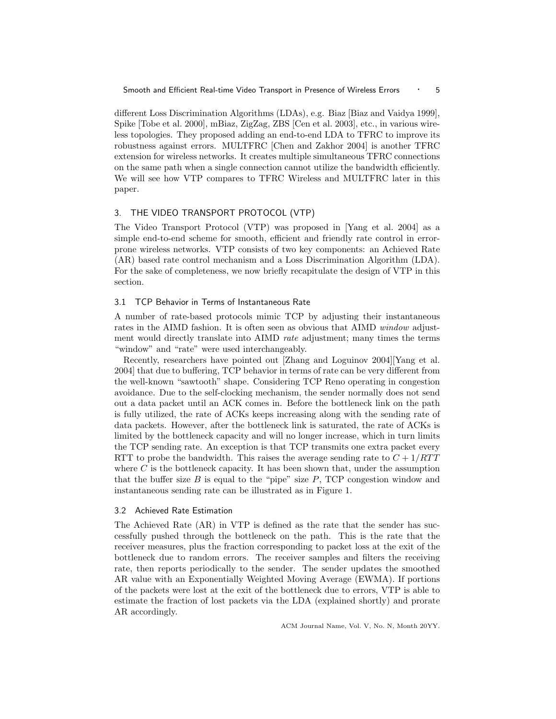different Loss Discrimination Algorithms (LDAs), e.g. Biaz [Biaz and Vaidya 1999], Spike [Tobe et al. 2000], mBiaz, ZigZag, ZBS [Cen et al. 2003], etc., in various wireless topologies. They proposed adding an end-to-end LDA to TFRC to improve its robustness against errors. MULTFRC [Chen and Zakhor 2004] is another TFRC extension for wireless networks. It creates multiple simultaneous TFRC connections on the same path when a single connection cannot utilize the bandwidth efficiently. We will see how VTP compares to TFRC Wireless and MULTFRC later in this paper.

#### 3. THE VIDEO TRANSPORT PROTOCOL (VTP)

The Video Transport Protocol (VTP) was proposed in [Yang et al. 2004] as a simple end-to-end scheme for smooth, efficient and friendly rate control in errorprone wireless networks. VTP consists of two key components: an Achieved Rate (AR) based rate control mechanism and a Loss Discrimination Algorithm (LDA). For the sake of completeness, we now briefly recapitulate the design of VTP in this section.

## 3.1 TCP Behavior in Terms of Instantaneous Rate

A number of rate-based protocols mimic TCP by adjusting their instantaneous rates in the AIMD fashion. It is often seen as obvious that AIMD *window* adjustment would directly translate into AIMD rate adjustment; many times the terms "window" and "rate" were used interchangeably.

Recently, researchers have pointed out [Zhang and Loguinov 2004][Yang et al. 2004] that due to buffering, TCP behavior in terms of rate can be very different from the well-known "sawtooth" shape. Considering TCP Reno operating in congestion avoidance. Due to the self-clocking mechanism, the sender normally does not send out a data packet until an ACK comes in. Before the bottleneck link on the path is fully utilized, the rate of ACKs keeps increasing along with the sending rate of data packets. However, after the bottleneck link is saturated, the rate of ACKs is limited by the bottleneck capacity and will no longer increase, which in turn limits the TCP sending rate. An exception is that TCP transmits one extra packet every RTT to probe the bandwidth. This raises the average sending rate to  $C + 1/RTT$ where  $C$  is the bottleneck capacity. It has been shown that, under the assumption that the buffer size  $B$  is equal to the "pipe" size  $P$ , TCP congestion window and instantaneous sending rate can be illustrated as in Figure 1.

## 3.2 Achieved Rate Estimation

The Achieved Rate (AR) in VTP is defined as the rate that the sender has successfully pushed through the bottleneck on the path. This is the rate that the receiver measures, plus the fraction corresponding to packet loss at the exit of the bottleneck due to random errors. The receiver samples and filters the receiving rate, then reports periodically to the sender. The sender updates the smoothed AR value with an Exponentially Weighted Moving Average (EWMA). If portions of the packets were lost at the exit of the bottleneck due to errors, VTP is able to estimate the fraction of lost packets via the LDA (explained shortly) and prorate AR accordingly.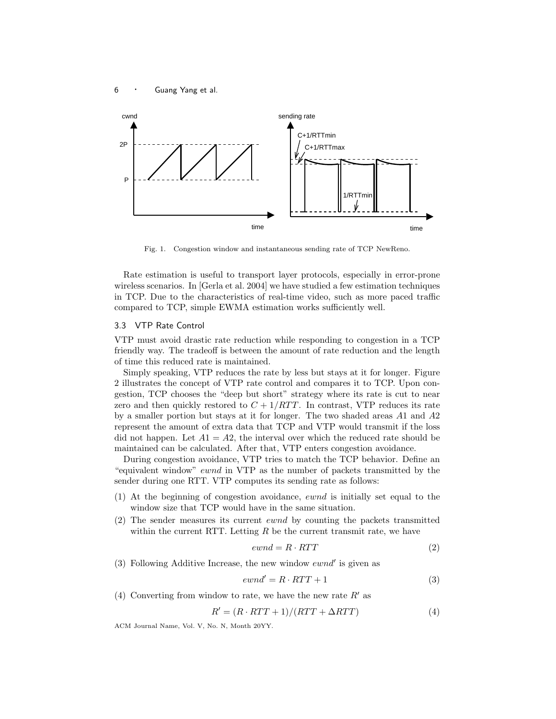



Fig. 1. Congestion window and instantaneous sending rate of TCP NewReno.

Rate estimation is useful to transport layer protocols, especially in error-prone wireless scenarios. In [Gerla et al. 2004] we have studied a few estimation techniques in TCP. Due to the characteristics of real-time video, such as more paced traffic compared to TCP, simple EWMA estimation works sufficiently well.

# 3.3 VTP Rate Control

VTP must avoid drastic rate reduction while responding to congestion in a TCP friendly way. The tradeoff is between the amount of rate reduction and the length of time this reduced rate is maintained.

Simply speaking, VTP reduces the rate by less but stays at it for longer. Figure 2 illustrates the concept of VTP rate control and compares it to TCP. Upon congestion, TCP chooses the "deep but short" strategy where its rate is cut to near zero and then quickly restored to  $C + 1/RTT$ . In contrast, VTP reduces its rate by a smaller portion but stays at it for longer. The two shaded areas  $A1$  and  $A2$ represent the amount of extra data that TCP and VTP would transmit if the loss did not happen. Let  $A1 = A2$ , the interval over which the reduced rate should be maintained can be calculated. After that, VTP enters congestion avoidance.

During congestion avoidance, VTP tries to match the TCP behavior. Define an "equivalent window" ewnd in VTP as the number of packets transmitted by the sender during one RTT. VTP computes its sending rate as follows:

- (1) At the beginning of congestion avoidance, ewnd is initially set equal to the window size that TCP would have in the same situation.
- (2) The sender measures its current ewnd by counting the packets transmitted within the current RTT. Letting  $R$  be the current transmit rate, we have

$$
ewnd = R \cdot RTT \tag{2}
$$

(3) Following Additive Increase, the new window  $\mathit{ewnd}'$  is given as

$$
ewnd' = R \cdot RTT + 1 \tag{3}
$$

(4) Converting from window to rate, we have the new rate  $R'$  as

$$
R' = (R \cdot RTT + 1)/(RTT + \Delta RTT)
$$
\n(4)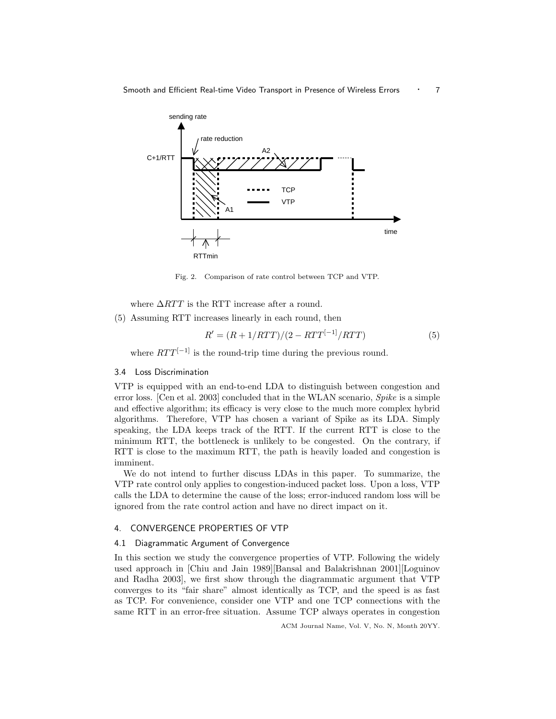

Fig. 2. Comparison of rate control between TCP and VTP.

where  $\Delta RTT$  is the RTT increase after a round.

(5) Assuming RTT increases linearly in each round, then

$$
R' = (R + 1/RTT)/(2 - RTT[-1]/RTT)
$$
\n(5)

where  $RTT^{[-1]}$  is the round-trip time during the previous round.

## 3.4 Loss Discrimination

VTP is equipped with an end-to-end LDA to distinguish between congestion and error loss. [Cen et al. 2003] concluded that in the WLAN scenario, Spike is a simple and effective algorithm; its efficacy is very close to the much more complex hybrid algorithms. Therefore, VTP has chosen a variant of Spike as its LDA. Simply speaking, the LDA keeps track of the RTT. If the current RTT is close to the minimum RTT, the bottleneck is unlikely to be congested. On the contrary, if RTT is close to the maximum RTT, the path is heavily loaded and congestion is imminent.

We do not intend to further discuss LDAs in this paper. To summarize, the VTP rate control only applies to congestion-induced packet loss. Upon a loss, VTP calls the LDA to determine the cause of the loss; error-induced random loss will be ignored from the rate control action and have no direct impact on it.

# 4. CONVERGENCE PROPERTIES OF VTP

## 4.1 Diagrammatic Argument of Convergence

In this section we study the convergence properties of VTP. Following the widely used approach in [Chiu and Jain 1989][Bansal and Balakrishnan 2001][Loguinov and Radha 2003], we first show through the diagrammatic argument that VTP converges to its "fair share" almost identically as TCP, and the speed is as fast as TCP. For convenience, consider one VTP and one TCP connections with the same RTT in an error-free situation. Assume TCP always operates in congestion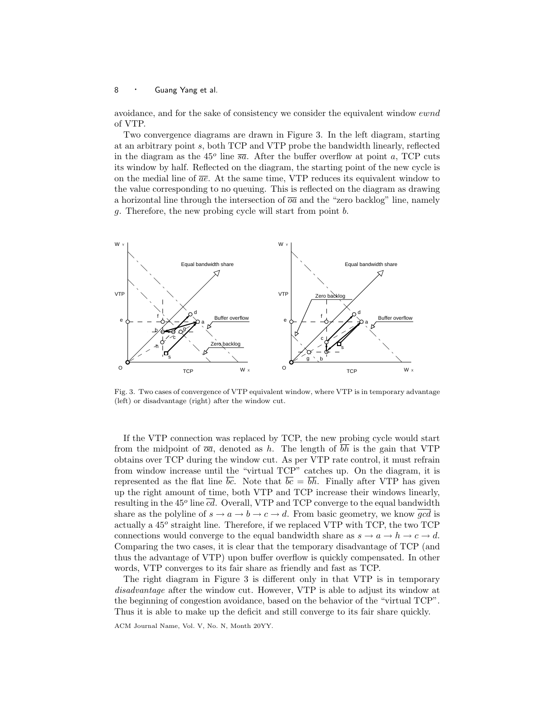avoidance, and for the sake of consistency we consider the equivalent window ewnd of VTP.

Two convergence diagrams are drawn in Figure 3. In the left diagram, starting at an arbitrary point s, both TCP and VTP probe the bandwidth linearly, reflected in the diagram as the  $45^{\circ}$  line  $\overline{sa}$ . After the buffer overflow at point a, TCP cuts its window by half. Reflected on the diagram, the starting point of the new cycle is on the medial line of  $\overline{ae}$ . At the same time, VTP reduces its equivalent window to the value corresponding to no queuing. This is reflected on the diagram as drawing a horizontal line through the intersection of  $\overline{o}\overline{a}$  and the "zero backlog" line, namely g. Therefore, the new probing cycle will start from point b.



Fig. 3. Two cases of convergence of VTP equivalent window, where VTP is in temporary advantage (left) or disadvantage (right) after the window cut.

If the VTP connection was replaced by TCP, the new probing cycle would start from the midpoint of  $\overline{o}a$ , denoted as h. The length of  $\overline{bh}$  is the gain that VTP obtains over TCP during the window cut. As per VTP rate control, it must refrain from window increase until the "virtual TCP" catches up. On the diagram, it is represented as the flat line bc. Note that  $bc = bh$ . Finally after VTP has given up the right amount of time, both VTP and TCP increase their windows linearly, resulting in the 45<sup>o</sup> line  $\overline{cd}$ . Overall, VTP and TCP converge to the equal bandwidth share as the polyline of  $s \to a \to b \to c \to d$ . From basic geometry, we know gcd is actually a 45<sup>o</sup> straight line. Therefore, if we replaced VTP with TCP, the two TCP connections would converge to the equal bandwidth share as  $s \to a \to h \to c \to d$ . Comparing the two cases, it is clear that the temporary disadvantage of TCP (and thus the advantage of VTP) upon buffer overflow is quickly compensated. In other words, VTP converges to its fair share as friendly and fast as TCP.

The right diagram in Figure 3 is different only in that VTP is in temporary disadvantage after the window cut. However, VTP is able to adjust its window at the beginning of congestion avoidance, based on the behavior of the "virtual TCP". Thus it is able to make up the deficit and still converge to its fair share quickly.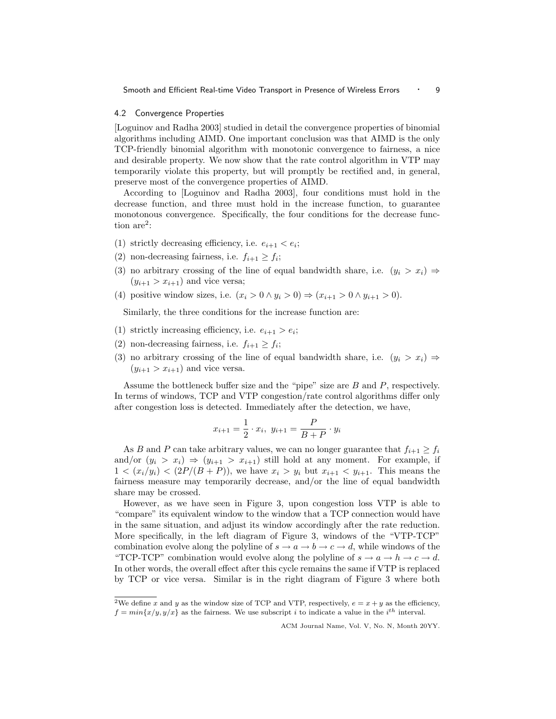#### 4.2 Convergence Properties

[Loguinov and Radha 2003] studied in detail the convergence properties of binomial algorithms including AIMD. One important conclusion was that AIMD is the only TCP-friendly binomial algorithm with monotonic convergence to fairness, a nice and desirable property. We now show that the rate control algorithm in VTP may temporarily violate this property, but will promptly be rectified and, in general, preserve most of the convergence properties of AIMD.

According to [Loguinov and Radha 2003], four conditions must hold in the decrease function, and three must hold in the increase function, to guarantee monotonous convergence. Specifically, the four conditions for the decrease function  $are^2$ :

- (1) strictly decreasing efficiency, i.e.  $e_{i+1} < e_i$ ;
- (2) non-decreasing fairness, i.e.  $f_{i+1} \geq f_i$ ;
- (3) no arbitrary crossing of the line of equal bandwidth share, i.e.  $(y_i > x_i) \Rightarrow$  $(y_{i+1} > x_{i+1})$  and vice versa;
- (4) positive window sizes, i.e.  $(x_i > 0 \land y_i > 0) \Rightarrow (x_{i+1} > 0 \land y_{i+1} > 0)$ .

Similarly, the three conditions for the increase function are:

- (1) strictly increasing efficiency, i.e.  $e_{i+1} > e_i$ ;
- (2) non-decreasing fairness, i.e.  $f_{i+1} \geq f_i$ ;
- (3) no arbitrary crossing of the line of equal bandwidth share, i.e.  $(y_i > x_i) \Rightarrow$  $(y_{i+1} > x_{i+1})$  and vice versa.

Assume the bottleneck buffer size and the "pipe" size are B and P, respectively. In terms of windows, TCP and VTP congestion/rate control algorithms differ only after congestion loss is detected. Immediately after the detection, we have,

$$
x_{i+1} = \frac{1}{2} \cdot x_i, \ y_{i+1} = \frac{P}{B+P} \cdot y_i
$$

As B and P can take arbitrary values, we can no longer guarantee that  $f_{i+1} \geq f_i$ and/or  $(y_i > x_i) \Rightarrow (y_{i+1} > x_{i+1})$  still hold at any moment. For example, if  $1 < (x_i/y_i) < (2P/(B+P))$ , we have  $x_i > y_i$  but  $x_{i+1} < y_{i+1}$ . This means the fairness measure may temporarily decrease, and/or the line of equal bandwidth share may be crossed.

However, as we have seen in Figure 3, upon congestion loss VTP is able to "compare" its equivalent window to the window that a TCP connection would have in the same situation, and adjust its window accordingly after the rate reduction. More specifically, in the left diagram of Figure 3, windows of the "VTP-TCP" combination evolve along the polyline of  $s \to a \to b \to c \to d$ , while windows of the "TCP-TCP" combination would evolve along the polyline of  $s \to a \to h \to c \to d$ . In other words, the overall effect after this cycle remains the same if VTP is replaced by TCP or vice versa. Similar is in the right diagram of Figure 3 where both

<sup>&</sup>lt;sup>2</sup>We define x and y as the window size of TCP and VTP, respectively,  $e = x + y$  as the efficiency,  $f = min\{x/y, y/x\}$  as the fairness. We use subscript i to indicate a value in the i<sup>th</sup> interval.

ACM Journal Name, Vol. V, No. N, Month 20YY.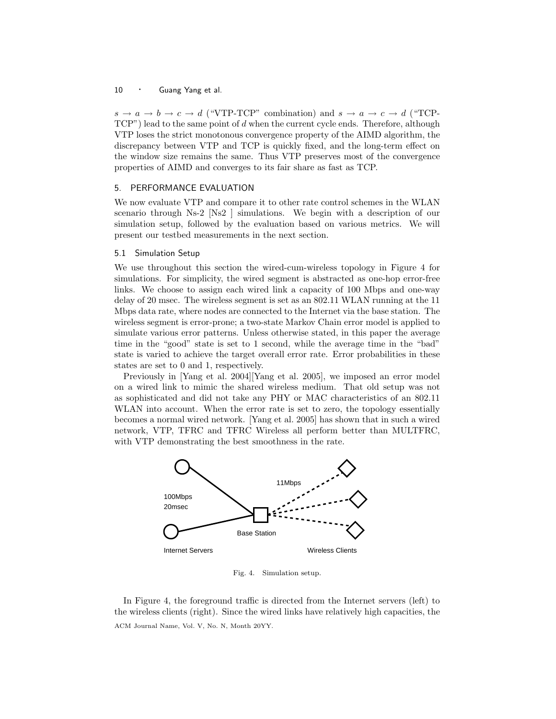$s \to a \to b \to c \to d$  ("VTP-TCP" combination) and  $s \to a \to c \to d$  ("TCP- $TCP")$  lead to the same point of  $d$  when the current cycle ends. Therefore, although VTP loses the strict monotonous convergence property of the AIMD algorithm, the discrepancy between VTP and TCP is quickly fixed, and the long-term effect on the window size remains the same. Thus VTP preserves most of the convergence properties of AIMD and converges to its fair share as fast as TCP.

## 5. PERFORMANCE EVALUATION

We now evaluate VTP and compare it to other rate control schemes in the WLAN scenario through Ns-2 [Ns2 ] simulations. We begin with a description of our simulation setup, followed by the evaluation based on various metrics. We will present our testbed measurements in the next section.

## 5.1 Simulation Setup

We use throughout this section the wired-cum-wireless topology in Figure 4 for simulations. For simplicity, the wired segment is abstracted as one-hop error-free links. We choose to assign each wired link a capacity of 100 Mbps and one-way delay of 20 msec. The wireless segment is set as an 802.11 WLAN running at the 11 Mbps data rate, where nodes are connected to the Internet via the base station. The wireless segment is error-prone; a two-state Markov Chain error model is applied to simulate various error patterns. Unless otherwise stated, in this paper the average time in the "good" state is set to 1 second, while the average time in the "bad" state is varied to achieve the target overall error rate. Error probabilities in these states are set to 0 and 1, respectively.

Previously in [Yang et al. 2004][Yang et al. 2005], we imposed an error model on a wired link to mimic the shared wireless medium. That old setup was not as sophisticated and did not take any PHY or MAC characteristics of an 802.11 WLAN into account. When the error rate is set to zero, the topology essentially becomes a normal wired network. [Yang et al. 2005] has shown that in such a wired network, VTP, TFRC and TFRC Wireless all perform better than MULTFRC, with VTP demonstrating the best smoothness in the rate.



Fig. 4. Simulation setup.

In Figure 4, the foreground traffic is directed from the Internet servers (left) to the wireless clients (right). Since the wired links have relatively high capacities, the ACM Journal Name, Vol. V, No. N, Month 20YY.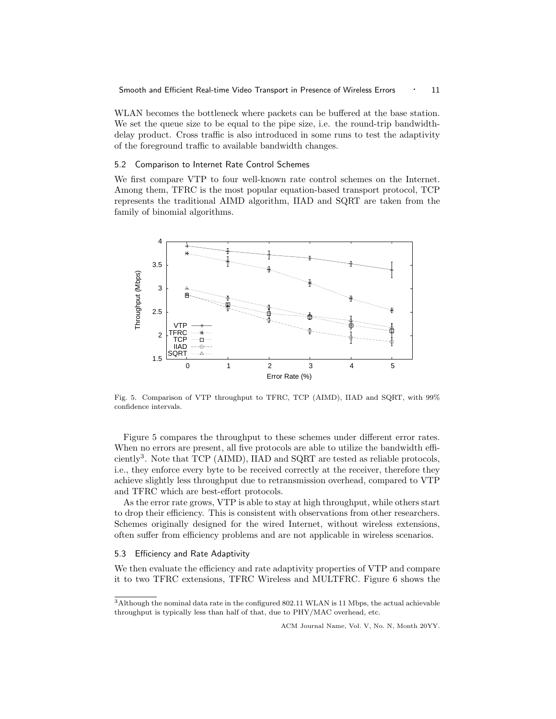WLAN becomes the bottleneck where packets can be buffered at the base station. We set the queue size to be equal to the pipe size, i.e. the round-trip bandwidthdelay product. Cross traffic is also introduced in some runs to test the adaptivity of the foreground traffic to available bandwidth changes.

## 5.2 Comparison to Internet Rate Control Schemes

We first compare VTP to four well-known rate control schemes on the Internet. Among them, TFRC is the most popular equation-based transport protocol, TCP represents the traditional AIMD algorithm, IIAD and SQRT are taken from the family of binomial algorithms.



Fig. 5. Comparison of VTP throughput to TFRC, TCP (AIMD), IIAD and SQRT, with 99% confidence intervals.

Figure 5 compares the throughput to these schemes under different error rates. When no errors are present, all five protocols are able to utilize the bandwidth efficiently<sup>3</sup>. Note that TCP (AIMD), IIAD and SQRT are tested as reliable protocols, i.e., they enforce every byte to be received correctly at the receiver, therefore they achieve slightly less throughput due to retransmission overhead, compared to VTP and TFRC which are best-effort protocols.

As the error rate grows, VTP is able to stay at high throughput, while others start to drop their efficiency. This is consistent with observations from other researchers. Schemes originally designed for the wired Internet, without wireless extensions, often suffer from efficiency problems and are not applicable in wireless scenarios.

## 5.3 Efficiency and Rate Adaptivity

We then evaluate the efficiency and rate adaptivity properties of VTP and compare it to two TFRC extensions, TFRC Wireless and MULTFRC. Figure 6 shows the

 $^3\rm{Although}$  the nominal data rate in the configured 802.11 WLAN is 11 Mbps, the actual achievable throughput is typically less than half of that, due to PHY/MAC overhead, etc.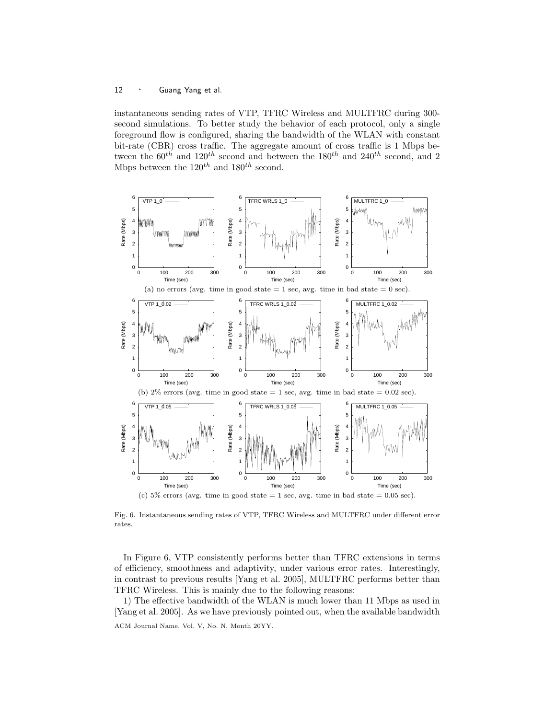instantaneous sending rates of VTP, TFRC Wireless and MULTFRC during 300 second simulations. To better study the behavior of each protocol, only a single foreground flow is configured, sharing the bandwidth of the WLAN with constant bit-rate (CBR) cross traffic. The aggregate amount of cross traffic is 1 Mbps between the  $60^{th}$  and  $120^{th}$  second and between the  $180^{th}$  and  $240^{th}$  second, and 2 Mbps between the  $120^{th}$  and  $180^{th}$  second.



Fig. 6. Instantaneous sending rates of VTP, TFRC Wireless and MULTFRC under different error rates.

In Figure 6, VTP consistently performs better than TFRC extensions in terms of efficiency, smoothness and adaptivity, under various error rates. Interestingly, in contrast to previous results [Yang et al. 2005], MULTFRC performs better than TFRC Wireless. This is mainly due to the following reasons:

1) The effective bandwidth of the WLAN is much lower than 11 Mbps as used in [Yang et al. 2005]. As we have previously pointed out, when the available bandwidth ACM Journal Name, Vol. V, No. N, Month 20YY.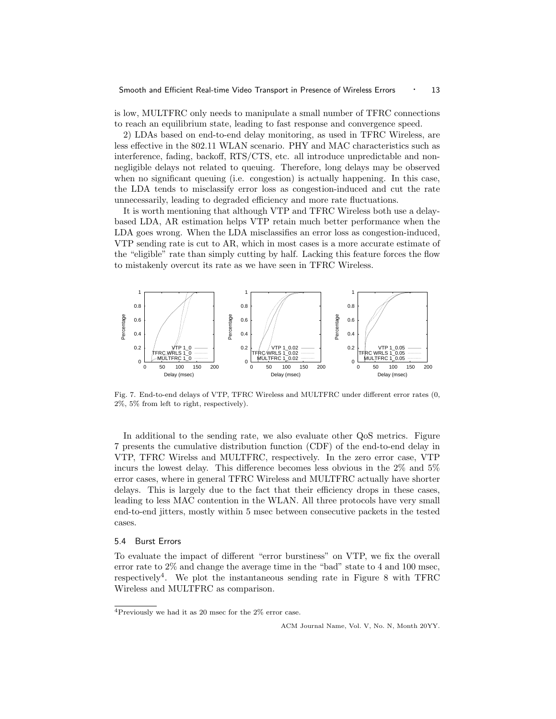is low, MULTFRC only needs to manipulate a small number of TFRC connections to reach an equilibrium state, leading to fast response and convergence speed.

2) LDAs based on end-to-end delay monitoring, as used in TFRC Wireless, are less effective in the 802.11 WLAN scenario. PHY and MAC characteristics such as interference, fading, backoff, RTS/CTS, etc. all introduce unpredictable and nonnegligible delays not related to queuing. Therefore, long delays may be observed when no significant queuing (i.e. congestion) is actually happening. In this case, the LDA tends to misclassify error loss as congestion-induced and cut the rate unnecessarily, leading to degraded efficiency and more rate fluctuations.

It is worth mentioning that although VTP and TFRC Wireless both use a delaybased LDA, AR estimation helps VTP retain much better performance when the LDA goes wrong. When the LDA misclassifies an error loss as congestion-induced, VTP sending rate is cut to AR, which in most cases is a more accurate estimate of the "eligible" rate than simply cutting by half. Lacking this feature forces the flow to mistakenly overcut its rate as we have seen in TFRC Wireless.



Fig. 7. End-to-end delays of VTP, TFRC Wireless and MULTFRC under different error rates (0, 2%, 5% from left to right, respectively).

In additional to the sending rate, we also evaluate other QoS metrics. Figure 7 presents the cumulative distribution function (CDF) of the end-to-end delay in VTP, TFRC Wirelss and MULTFRC, respectively. In the zero error case, VTP incurs the lowest delay. This difference becomes less obvious in the 2% and 5% error cases, where in general TFRC Wireless and MULTFRC actually have shorter delays. This is largely due to the fact that their efficiency drops in these cases, leading to less MAC contention in the WLAN. All three protocols have very small end-to-end jitters, mostly within 5 msec between consecutive packets in the tested cases.

## 5.4 Burst Errors

To evaluate the impact of different "error burstiness" on VTP, we fix the overall error rate to  $2\%$  and change the average time in the "bad" state to 4 and 100 msec, respectively<sup>4</sup>. We plot the instantaneous sending rate in Figure 8 with TFRC Wireless and MULTFRC as comparison.

<sup>4</sup>Previously we had it as 20 msec for the 2% error case.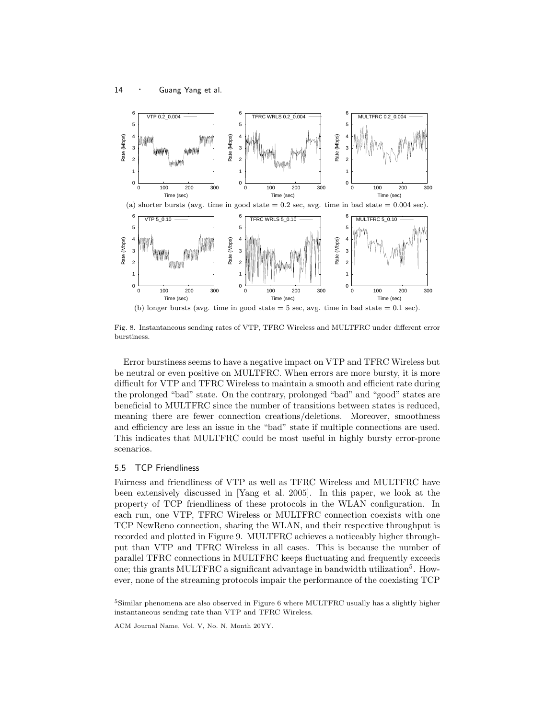

Fig. 8. Instantaneous sending rates of VTP, TFRC Wireless and MULTFRC under different error burstiness.

Error burstiness seems to have a negative impact on VTP and TFRC Wireless but be neutral or even positive on MULTFRC. When errors are more bursty, it is more difficult for VTP and TFRC Wireless to maintain a smooth and efficient rate during the prolonged "bad" state. On the contrary, prolonged "bad" and "good" states are beneficial to MULTFRC since the number of transitions between states is reduced, meaning there are fewer connection creations/deletions. Moreover, smoothness and efficiency are less an issue in the "bad" state if multiple connections are used. This indicates that MULTFRC could be most useful in highly bursty error-prone scenarios.

## 5.5 TCP Friendliness

Fairness and friendliness of VTP as well as TFRC Wireless and MULTFRC have been extensively discussed in [Yang et al. 2005]. In this paper, we look at the property of TCP friendliness of these protocols in the WLAN configuration. In each run, one VTP, TFRC Wireless or MULTFRC connection coexists with one TCP NewReno connection, sharing the WLAN, and their respective throughput is recorded and plotted in Figure 9. MULTFRC achieves a noticeably higher throughput than VTP and TFRC Wireless in all cases. This is because the number of parallel TFRC connections in MULTFRC keeps fluctuating and frequently exceeds one; this grants MULTFRC a significant advantage in bandwidth utilization<sup>5</sup>. However, none of the streaming protocols impair the performance of the coexisting TCP

 $^5$ Similar phenomena are also observed in Figure 6 where MULTFRC usually has a slightly higher instantaneous sending rate than VTP and TFRC Wireless.

ACM Journal Name, Vol. V, No. N, Month 20YY.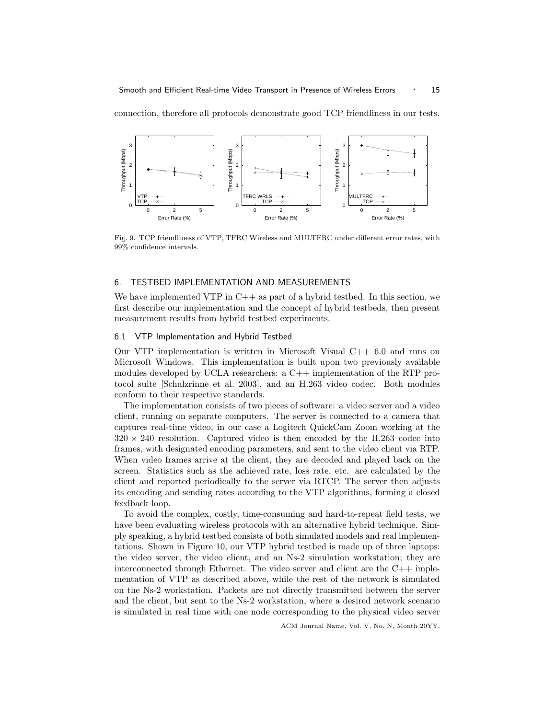connection, therefore all protocols demonstrate good TCP friendliness in our tests.



Fig. 9. TCP friendliness of VTP, TFRC Wireless and MULTFRC under different error rates, with 99% confidence intervals.

#### 6. TESTBED IMPLEMENTATION AND MEASUREMENTS

We have implemented VTP in  $C++$  as part of a hybrid testbed. In this section, we first describe our implementation and the concept of hybrid testbeds, then present measurement results from hybrid testbed experiments.

## 6.1 VTP Implementation and Hybrid Testbed

Our VTP implementation is written in Microsoft Visual  $C++6.0$  and runs on Microsoft Windows. This implementation is built upon two previously available modules developed by UCLA researchers:  $a C++$  implementation of the RTP protocol suite [Schulzrinne et al. 2003], and an H.263 video codec. Both modules conform to their respective standards.

The implementation consists of two pieces of software: a video server and a video client, running on separate computers. The server is connected to a camera that captures real-time video, in our case a Logitech QuickCam Zoom working at the  $320 \times 240$  resolution. Captured video is then encoded by the H.263 codec into frames, with designated encoding parameters, and sent to the video client via RTP. When video frames arrive at the client, they are decoded and played back on the screen. Statistics such as the achieved rate, loss rate, etc. are calculated by the client and reported periodically to the server via RTCP. The server then adjusts its encoding and sending rates according to the VTP algorithms, forming a closed feedback loop.

To avoid the complex, costly, time-consuming and hard-to-repeat field tests, we have been evaluating wireless protocols with an alternative hybrid technique. Simply speaking, a hybrid testbed consists of both simulated models and real implementations. Shown in Figure 10, our VTP hybrid testbed is made up of three laptops: the video server, the video client, and an Ns-2 simulation workstation; they are interconnected through Ethernet. The video server and client are the C++ implementation of VTP as described above, while the rest of the network is simulated on the Ns-2 workstation. Packets are not directly transmitted between the server and the client, but sent to the Ns-2 workstation, where a desired network scenario is simulated in real time with one node corresponding to the physical video server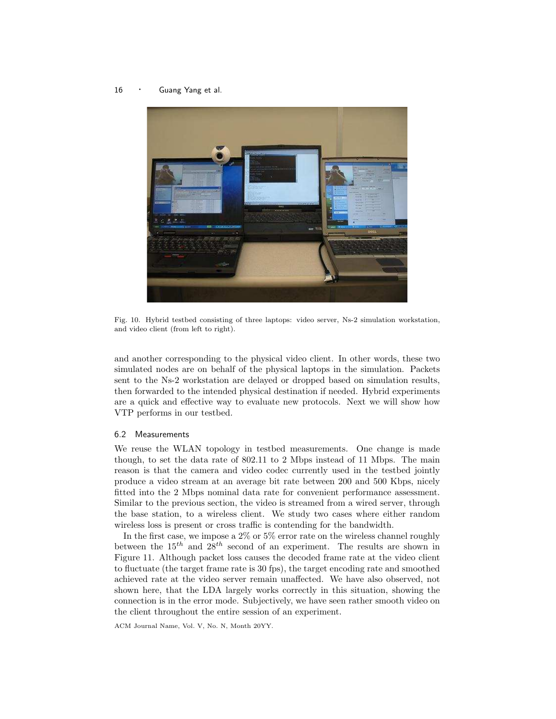16 · Guang Yang et al.



Fig. 10. Hybrid testbed consisting of three laptops: video server, Ns-2 simulation workstation, and video client (from left to right).

and another corresponding to the physical video client. In other words, these two simulated nodes are on behalf of the physical laptops in the simulation. Packets sent to the Ns-2 workstation are delayed or dropped based on simulation results, then forwarded to the intended physical destination if needed. Hybrid experiments are a quick and effective way to evaluate new protocols. Next we will show how VTP performs in our testbed.

## 6.2 Measurements

We reuse the WLAN topology in testbed measurements. One change is made though, to set the data rate of 802.11 to 2 Mbps instead of 11 Mbps. The main reason is that the camera and video codec currently used in the testbed jointly produce a video stream at an average bit rate between 200 and 500 Kbps, nicely fitted into the 2 Mbps nominal data rate for convenient performance assessment. Similar to the previous section, the video is streamed from a wired server, through the base station, to a wireless client. We study two cases where either random wireless loss is present or cross traffic is contending for the bandwidth.

In the first case, we impose a  $2\%$  or  $5\%$  error rate on the wireless channel roughly between the  $15^{th}$  and  $28^{th}$  second of an experiment. The results are shown in Figure 11. Although packet loss causes the decoded frame rate at the video client to fluctuate (the target frame rate is 30 fps), the target encoding rate and smoothed achieved rate at the video server remain unaffected. We have also observed, not shown here, that the LDA largely works correctly in this situation, showing the connection is in the error mode. Subjectively, we have seen rather smooth video on the client throughout the entire session of an experiment.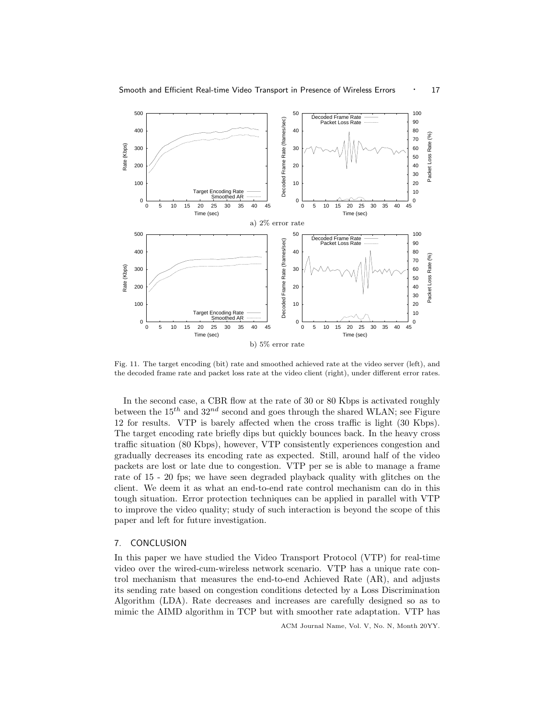

Fig. 11. The target encoding (bit) rate and smoothed achieved rate at the video server (left), and the decoded frame rate and packet loss rate at the video client (right), under different error rates.

In the second case, a CBR flow at the rate of 30 or 80 Kbps is activated roughly between the  $15^{th}$  and  $32^{nd}$  second and goes through the shared WLAN; see Figure 12 for results. VTP is barely affected when the cross traffic is light (30 Kbps). The target encoding rate briefly dips but quickly bounces back. In the heavy cross traffic situation (80 Kbps), however, VTP consistently experiences congestion and gradually decreases its encoding rate as expected. Still, around half of the video packets are lost or late due to congestion. VTP per se is able to manage a frame rate of 15 - 20 fps; we have seen degraded playback quality with glitches on the client. We deem it as what an end-to-end rate control mechanism can do in this tough situation. Error protection techniques can be applied in parallel with VTP to improve the video quality; study of such interaction is beyond the scope of this paper and left for future investigation.

#### 7. CONCLUSION

In this paper we have studied the Video Transport Protocol (VTP) for real-time video over the wired-cum-wireless network scenario. VTP has a unique rate control mechanism that measures the end-to-end Achieved Rate (AR), and adjusts its sending rate based on congestion conditions detected by a Loss Discrimination Algorithm (LDA). Rate decreases and increases are carefully designed so as to mimic the AIMD algorithm in TCP but with smoother rate adaptation. VTP has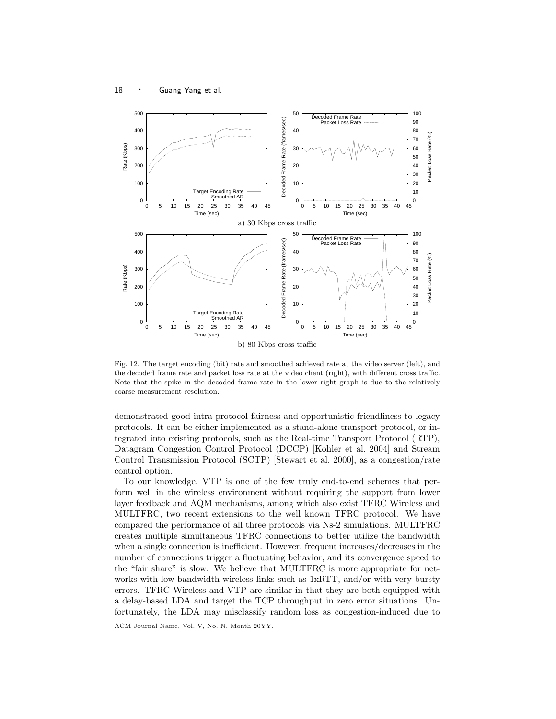

Fig. 12. The target encoding (bit) rate and smoothed achieved rate at the video server (left), and the decoded frame rate and packet loss rate at the video client (right), with different cross traffic. Note that the spike in the decoded frame rate in the lower right graph is due to the relatively coarse measurement resolution.

demonstrated good intra-protocol fairness and opportunistic friendliness to legacy protocols. It can be either implemented as a stand-alone transport protocol, or integrated into existing protocols, such as the Real-time Transport Protocol (RTP), Datagram Congestion Control Protocol (DCCP) [Kohler et al. 2004] and Stream Control Transmission Protocol (SCTP) [Stewart et al. 2000], as a congestion/rate control option.

To our knowledge, VTP is one of the few truly end-to-end schemes that perform well in the wireless environment without requiring the support from lower layer feedback and AQM mechanisms, among which also exist TFRC Wireless and MULTFRC, two recent extensions to the well known TFRC protocol. We have compared the performance of all three protocols via Ns-2 simulations. MULTFRC creates multiple simultaneous TFRC connections to better utilize the bandwidth when a single connection is inefficient. However, frequent increases/decreases in the number of connections trigger a fluctuating behavior, and its convergence speed to the "fair share" is slow. We believe that MULTFRC is more appropriate for networks with low-bandwidth wireless links such as 1xRTT, and/or with very bursty errors. TFRC Wireless and VTP are similar in that they are both equipped with a delay-based LDA and target the TCP throughput in zero error situations. Unfortunately, the LDA may misclassify random loss as congestion-induced due to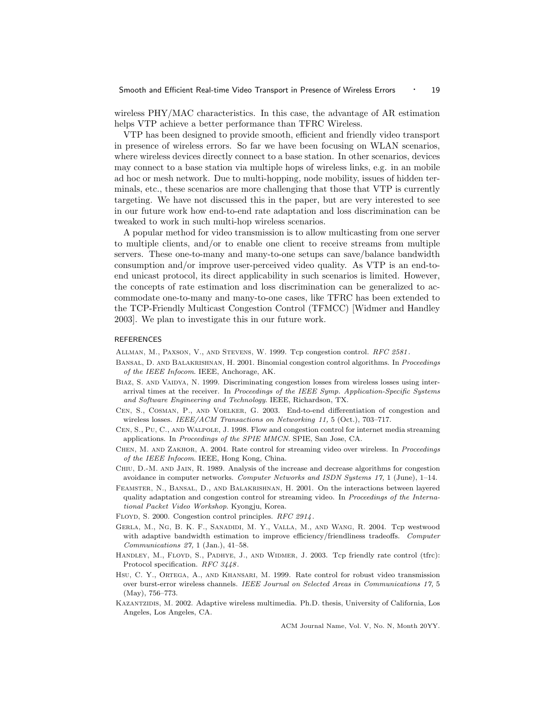wireless PHY/MAC characteristics. In this case, the advantage of AR estimation helps VTP achieve a better performance than TFRC Wireless.

VTP has been designed to provide smooth, efficient and friendly video transport in presence of wireless errors. So far we have been focusing on WLAN scenarios, where wireless devices directly connect to a base station. In other scenarios, devices may connect to a base station via multiple hops of wireless links, e.g. in an mobile ad hoc or mesh network. Due to multi-hopping, node mobility, issues of hidden terminals, etc., these scenarios are more challenging that those that VTP is currently targeting. We have not discussed this in the paper, but are very interested to see in our future work how end-to-end rate adaptation and loss discrimination can be tweaked to work in such multi-hop wireless scenarios.

A popular method for video transmission is to allow multicasting from one server to multiple clients, and/or to enable one client to receive streams from multiple servers. These one-to-many and many-to-one setups can save/balance bandwidth consumption and/or improve user-perceived video quality. As VTP is an end-toend unicast protocol, its direct applicability in such scenarios is limited. However, the concepts of rate estimation and loss discrimination can be generalized to accommodate one-to-many and many-to-one cases, like TFRC has been extended to the TCP-Friendly Multicast Congestion Control (TFMCC) [Widmer and Handley 2003]. We plan to investigate this in our future work.

#### REFERENCES

Allman, M., Paxson, V., and Stevens, W. 1999. Tcp congestion control. RFC 2581.

- Bansal, D. and Balakrishnan, H. 2001. Binomial congestion control algorithms. In Proceedings of the IEEE Infocom. IEEE, Anchorage, AK.
- BIAZ, S. AND VAIDYA, N. 1999. Discriminating congestion losses from wireless losses using interarrival times at the receiver. In Proceedings of the IEEE Symp. Application-Specific Systems and Software Engineering and Technology. IEEE, Richardson, TX.
- Cen, S., Cosman, P., and Voelker, G. 2003. End-to-end differentiation of congestion and wireless losses. IEEE/ACM Transactions on Networking 11, 5 (Oct.), 703-717.
- Cen, S., Pu, C., and Walpole, J. 1998. Flow and congestion control for internet media streaming applications. In Proceedings of the SPIE MMCN. SPIE, San Jose, CA.
- Chen, M. and Zakhor, A. 2004. Rate control for streaming video over wireless. In Proceedings of the IEEE Infocom. IEEE, Hong Kong, China.
- Chiu, D.-M. and Jain, R. 1989. Analysis of the increase and decrease algorithms for congestion avoidance in computer networks. Computer Networks and ISDN Systems 17, 1 (June), 1–14.
- Feamster, N., Bansal, D., and Balakrishnan, H. 2001. On the interactions between layered quality adaptation and congestion control for streaming video. In Proceedings of the International Packet Video Workshop. Kyongju, Korea.
- FLOYD, S. 2000. Congestion control principles. RFC 2914.
- Gerla, M., Ng, B. K. F., Sanadidi, M. Y., Valla, M., and Wang, R. 2004. Tcp westwood with adaptive bandwidth estimation to improve efficiency/friendliness tradeoffs. Computer Communications  $27, 1$  (Jan.),  $41-58$ .
- HANDLEY, M., FLOYD, S., PADHYE, J., AND WIDMER, J. 2003. Tcp friendly rate control (tfrc): Protocol specification. RFC 3448.
- Hsu, C. Y., Ortega, A., and Khansari, M. 1999. Rate control for robust video transmission over burst-error wireless channels. IEEE Journal on Selected Areas in Communications 17, 5 (May), 756–773.
- Kazantzidis, M. 2002. Adaptive wireless multimedia. Ph.D. thesis, University of California, Los Angeles, Los Angeles, CA.